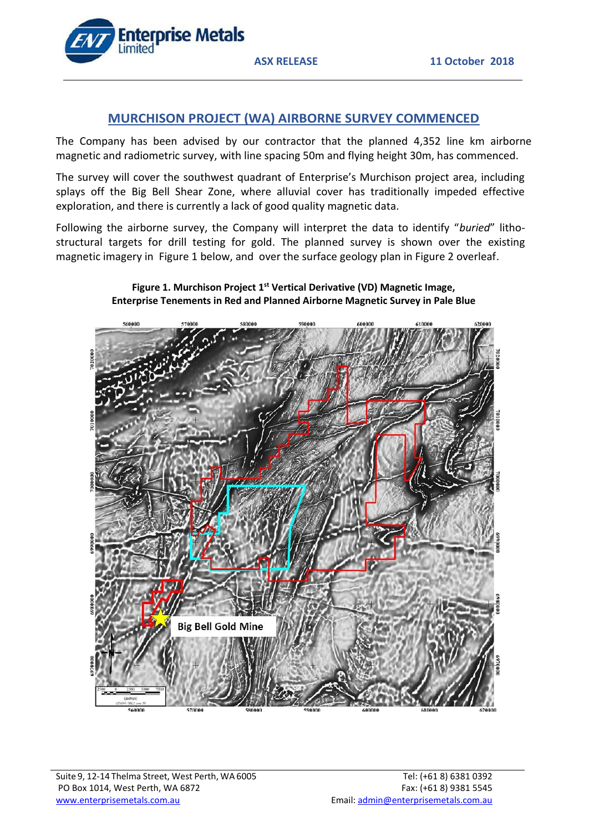



## **MURCHISON PROJECT (WA) AIRBORNE SURVEY COMMENCED**

The Company has been advised by our contractor that the planned 4,352 line km airborne magnetic and radiometric survey, with line spacing 50m and flying height 30m, has commenced.

The survey will cover the southwest quadrant of Enterprise's Murchison project area, including splays off the Big Bell Shear Zone, where alluvial cover has traditionally impeded effective exploration, and there is currently a lack of good quality magnetic data.

Following the airborne survey, the Company will interpret the data to identify "*buried*" lithostructural targets for drill testing for gold. The planned survey is shown over the existing magnetic imagery in Figure 1 below, and over the surface geology plan in Figure 2 overleaf.